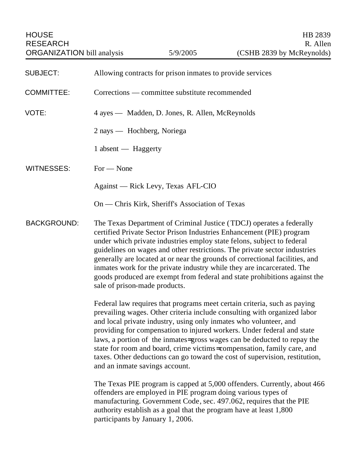| <b>SUBJECT:</b>    | Allowing contracts for prison inmates to provide services                                                                                                                                                                                                                                                                                                                                                                                                                                                                                                                   |
|--------------------|-----------------------------------------------------------------------------------------------------------------------------------------------------------------------------------------------------------------------------------------------------------------------------------------------------------------------------------------------------------------------------------------------------------------------------------------------------------------------------------------------------------------------------------------------------------------------------|
| <b>COMMITTEE:</b>  | Corrections — committee substitute recommended                                                                                                                                                                                                                                                                                                                                                                                                                                                                                                                              |
| VOTE:              | 4 ayes — Madden, D. Jones, R. Allen, McReynolds                                                                                                                                                                                                                                                                                                                                                                                                                                                                                                                             |
|                    | 2 nays — Hochberg, Noriega                                                                                                                                                                                                                                                                                                                                                                                                                                                                                                                                                  |
|                    | 1 absent — Haggerty                                                                                                                                                                                                                                                                                                                                                                                                                                                                                                                                                         |
| <b>WITNESSES:</b>  | $For - None$                                                                                                                                                                                                                                                                                                                                                                                                                                                                                                                                                                |
|                    | Against — Rick Levy, Texas AFL-CIO                                                                                                                                                                                                                                                                                                                                                                                                                                                                                                                                          |
|                    | On — Chris Kirk, Sheriff's Association of Texas                                                                                                                                                                                                                                                                                                                                                                                                                                                                                                                             |
| <b>BACKGROUND:</b> | The Texas Department of Criminal Justice (TDCJ) operates a federally<br>certified Private Sector Prison Industries Enhancement (PIE) program<br>under which private industries employ state felons, subject to federal<br>guidelines on wages and other restrictions. The private sector industries<br>generally are located at or near the grounds of correctional facilities, and<br>inmates work for the private industry while they are incarcerated. The<br>goods produced are exempt from federal and state prohibitions against the<br>sale of prison-made products. |
|                    | Federal law requires that programs meet certain criteria, such as paying<br>prevailing wages. Other criteria include consulting with organized labor<br>and local private industry, using only inmates who volunteer, and<br>providing for compensation to injured workers. Under federal and state<br>laws, a portion of the inmates-gross wages can be deducted to repay the<br>state for room and board, crime victims=compensation, family care, and<br>taxes. Other deductions can go toward the cost of supervision, restitution,<br>and an inmate savings account.   |
|                    | The Texas PIE program is capped at 5,000 offenders. Currently, about 466<br>offenders are employed in PIE program doing various types of<br>manufacturing. Government Code, sec. 497.062, requires that the PIE<br>authority establish as a goal that the program have at least 1,800<br>participants by January 1, 2006.                                                                                                                                                                                                                                                   |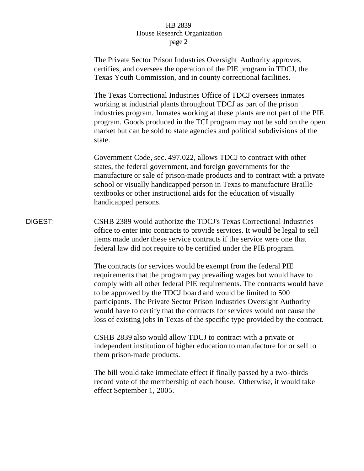## HB 2839 House Research Organization page 2

The Private Sector Prison Industries Oversight Authority approves, certifies, and oversees the operation of the PIE program in TDCJ, the Texas Youth Commission, and in county correctional facilities.

The Texas Correctional Industries Office of TDCJ oversees inmates working at industrial plants throughout TDCJ as part of the prison industries program. Inmates working at these plants are not part of the PIE program. Goods produced in the TCI program may not be sold on the open market but can be sold to state agencies and political subdivisions of the state.

Government Code, sec. 497.022, allows TDCJ to contract with other states, the federal government, and foreign governments for the manufacture or sale of prison-made products and to contract with a private school or visually handicapped person in Texas to manufacture Braille textbooks or other instructional aids for the education of visually handicapped persons.

DIGEST: CSHB 2389 would authorize the TDCJ's Texas Correctional Industries office to enter into contracts to provide services. It would be legal to sell items made under these service contracts if the service were one that federal law did not require to be certified under the PIE program.

> The contracts for services would be exempt from the federal PIE requirements that the program pay prevailing wages but would have to comply with all other federal PIE requirements. The contracts would have to be approved by the TDCJ board and would be limited to 500 participants. The Private Sector Prison Industries Oversight Authority would have to certify that the contracts for services would not cause the loss of existing jobs in Texas of the specific type provided by the contract.

CSHB 2839 also would allow TDCJ to contract with a private or independent institution of higher education to manufacture for or sell to them prison-made products.

The bill would take immediate effect if finally passed by a two-thirds record vote of the membership of each house. Otherwise, it would take effect September 1, 2005.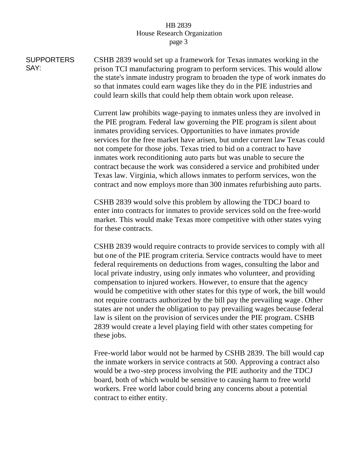## HB 2839 House Research Organization page 3

SUPPORTERS SAY: CSHB 2839 would set up a framework for Texas inmates working in the prison TCI manufacturing program to perform services. This would allow the state's inmate industry program to broaden the type of work inmates do so that inmates could earn wages like they do in the PIE industries and could learn skills that could help them obtain work upon release.

> Current law prohibits wage-paying to inmates unless they are involved in the PIE program. Federal law governing the PIE program is silent about inmates providing services. Opportunities to have inmates provide services for the free market have arisen, but under current law Texas could not compete for those jobs. Texas tried to bid on a contract to have inmates work reconditioning auto parts but was unable to secure the contract because the work was considered a service and prohibited under Texas law. Virginia, which allows inmates to perform services, won the contract and now employs more than 300 inmates refurbishing auto parts.

CSHB 2839 would solve this problem by allowing the TDCJ board to enter into contracts for inmates to provide services sold on the free-world market. This would make Texas more competitive with other states vying for these contracts.

CSHB 2839 would require contracts to provide services to comply with all but one of the PIE program criteria. Service contracts would have to meet federal requirements on deductions from wages, consulting the labor and local private industry, using only inmates who volunteer, and providing compensation to injured workers. However, to ensure that the agency would be competitive with other states for this type of work, the bill would not require contracts authorized by the bill pay the prevailing wage . Other states are not under the obligation to pay prevailing wages because federal law is silent on the provision of services under the PIE program. CSHB 2839 would create a level playing field with other states competing for these jobs.

Free-world labor would not be harmed by CSHB 2839. The bill would cap the inmate workers in service contracts at 500. Approving a contract also would be a two-step process involving the PIE authority and the TDCJ board, both of which would be sensitive to causing harm to free world workers. Free world labor could bring any concerns about a potential contract to either entity.